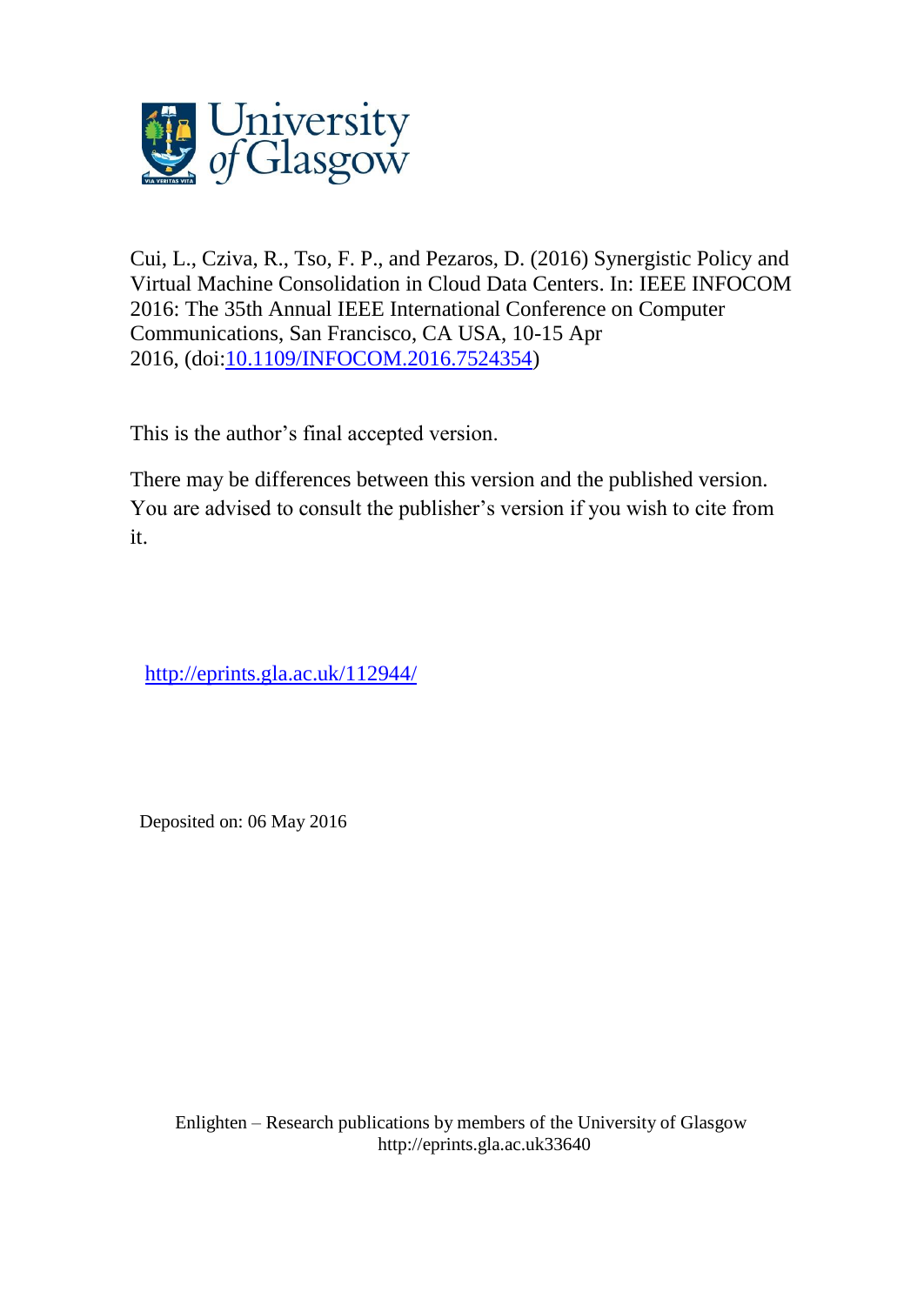

Cui, L., Cziva, R., Tso, F. P., and Pezaros, D. (2016) Synergistic Policy and Virtual Machine Consolidation in Cloud Data Centers. In: IEEE INFOCOM 2016: The 35th Annual IEEE International Conference on Computer Communications, San Francisco, CA USA, 10-15 Apr 2016, (doi:10.1109/INFOCOM.2016.7524354)

This is the author's final accepted version.

There may be differences between this version and the published version. You are advised to consult the publisher's version if you wish to cite from it.

http://eprints.gla.ac.uk/112944/

Deposited on: 06 May 2016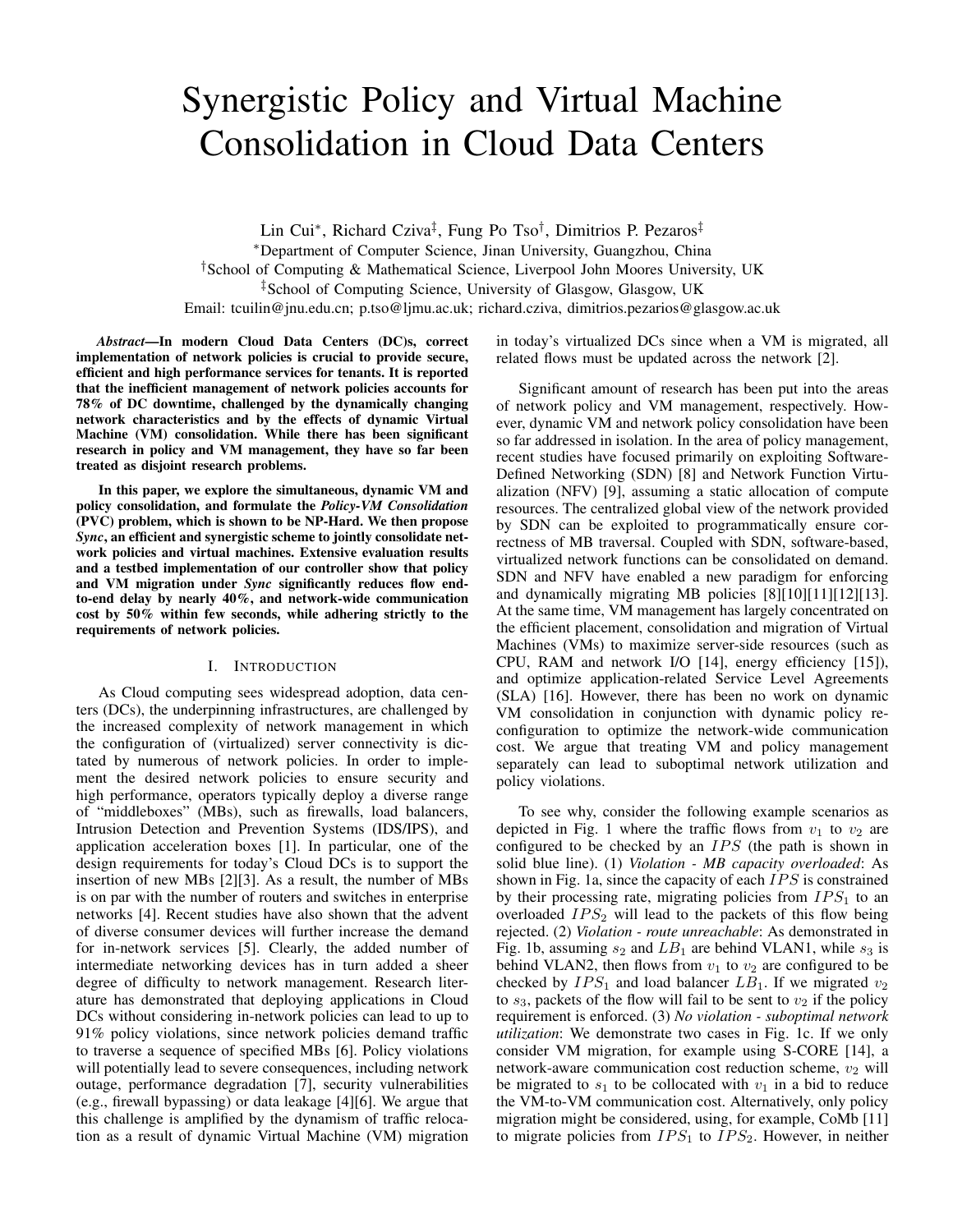# Synergistic Policy and Virtual Machine Consolidation in Cloud Data Centers

Lin Cui<sup>∗</sup> , Richard Cziva‡ , Fung Po Tso† , Dimitrios P. Pezaros‡ <sup>∗</sup>Department of Computer Science, Jinan University, Guangzhou, China †School of Computing & Mathematical Science, Liverpool John Moores University, UK ‡School of Computing Science, University of Glasgow, Glasgow, UK Email: tcuilin@jnu.edu.cn; p.tso@ljmu.ac.uk; richard.cziva, dimitrios.pezarios@glasgow.ac.uk

*Abstract*—In modern Cloud Data Centers (DC)s, correct implementation of network policies is crucial to provide secure, efficient and high performance services for tenants. It is reported that the inefficient management of network policies accounts for 78% of DC downtime, challenged by the dynamically changing network characteristics and by the effects of dynamic Virtual Machine (VM) consolidation. While there has been significant research in policy and VM management, they have so far been treated as disjoint research problems.

In this paper, we explore the simultaneous, dynamic VM and policy consolidation, and formulate the *Policy-VM Consolidation* (PVC) problem, which is shown to be NP-Hard. We then propose *Sync*, an efficient and synergistic scheme to jointly consolidate network policies and virtual machines. Extensive evaluation results and a testbed implementation of our controller show that policy and VM migration under *Sync* significantly reduces flow endto-end delay by nearly 40%, and network-wide communication cost by 50% within few seconds, while adhering strictly to the requirements of network policies.

# I. INTRODUCTION

As Cloud computing sees widespread adoption, data centers (DCs), the underpinning infrastructures, are challenged by the increased complexity of network management in which the configuration of (virtualized) server connectivity is dictated by numerous of network policies. In order to implement the desired network policies to ensure security and high performance, operators typically deploy a diverse range of "middleboxes" (MBs), such as firewalls, load balancers, Intrusion Detection and Prevention Systems (IDS/IPS), and application acceleration boxes [1]. In particular, one of the design requirements for today's Cloud DCs is to support the insertion of new MBs [2][3]. As a result, the number of MBs is on par with the number of routers and switches in enterprise networks [4]. Recent studies have also shown that the advent of diverse consumer devices will further increase the demand for in-network services [5]. Clearly, the added number of intermediate networking devices has in turn added a sheer degree of difficulty to network management. Research literature has demonstrated that deploying applications in Cloud DCs without considering in-network policies can lead to up to 91% policy violations, since network policies demand traffic to traverse a sequence of specified MBs [6]. Policy violations will potentially lead to severe consequences, including network outage, performance degradation [7], security vulnerabilities (e.g., firewall bypassing) or data leakage [4][6]. We argue that this challenge is amplified by the dynamism of traffic relocation as a result of dynamic Virtual Machine (VM) migration in today's virtualized DCs since when a VM is migrated, all related flows must be updated across the network [2].

Significant amount of research has been put into the areas of network policy and VM management, respectively. However, dynamic VM and network policy consolidation have been so far addressed in isolation. In the area of policy management, recent studies have focused primarily on exploiting Software-Defined Networking (SDN) [8] and Network Function Virtualization (NFV) [9], assuming a static allocation of compute resources. The centralized global view of the network provided by SDN can be exploited to programmatically ensure correctness of MB traversal. Coupled with SDN, software-based, virtualized network functions can be consolidated on demand. SDN and NFV have enabled a new paradigm for enforcing and dynamically migrating MB policies [8][10][11][12][13]. At the same time, VM management has largely concentrated on the efficient placement, consolidation and migration of Virtual Machines (VMs) to maximize server-side resources (such as CPU, RAM and network I/O [14], energy efficiency [15]), and optimize application-related Service Level Agreements (SLA) [16]. However, there has been no work on dynamic VM consolidation in conjunction with dynamic policy reconfiguration to optimize the network-wide communication cost. We argue that treating VM and policy management separately can lead to suboptimal network utilization and policy violations.

To see why, consider the following example scenarios as depicted in Fig. 1 where the traffic flows from  $v_1$  to  $v_2$  are configured to be checked by an  $IPS$  (the path is shown in solid blue line). (1) *Violation - MB capacity overloaded*: As shown in Fig. 1a, since the capacity of each  $IPS$  is constrained by their processing rate, migrating policies from  $IPS<sub>1</sub>$  to an overloaded  $IPS_2$  will lead to the packets of this flow being rejected. (2) *Violation - route unreachable*: As demonstrated in Fig. 1b, assuming  $s_2$  and  $LB_1$  are behind VLAN1, while  $s_3$  is behind VLAN2, then flows from  $v_1$  to  $v_2$  are configured to be checked by  $IPS_1$  and load balancer  $LB_1$ . If we migrated  $v_2$ to  $s_3$ , packets of the flow will fail to be sent to  $v_2$  if the policy requirement is enforced. (3) *No violation - suboptimal network utilization*: We demonstrate two cases in Fig. 1c. If we only consider VM migration, for example using S-CORE [14], a network-aware communication cost reduction scheme,  $v_2$  will be migrated to  $s_1$  to be collocated with  $v_1$  in a bid to reduce the VM-to-VM communication cost. Alternatively, only policy migration might be considered, using, for example, CoMb [11] to migrate policies from  $IPS_1$  to  $IPS_2$ . However, in neither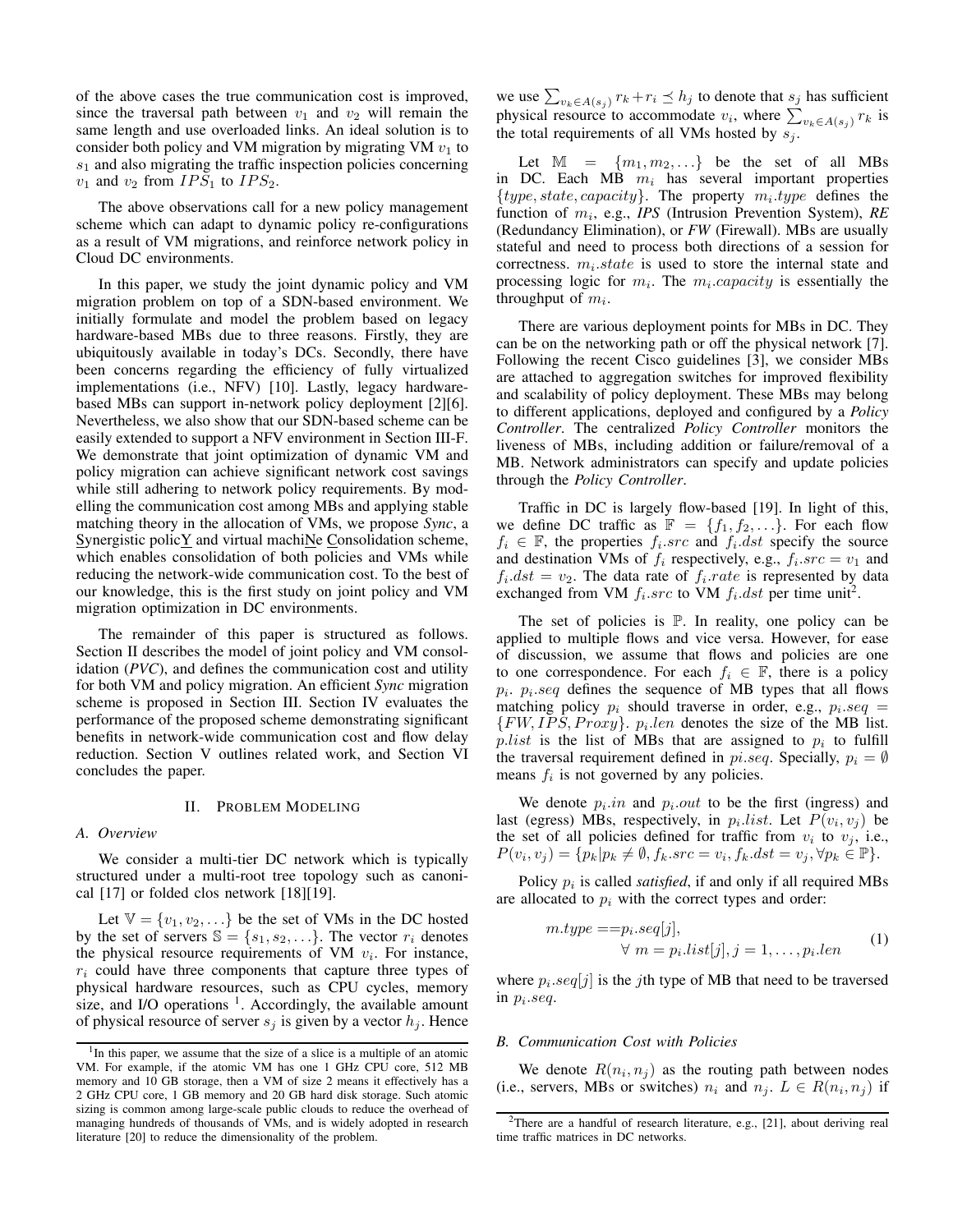of the above cases the true communication cost is improved, since the traversal path between  $v_1$  and  $v_2$  will remain the same length and use overloaded links. An ideal solution is to consider both policy and VM migration by migrating VM  $v_1$  to  $s<sub>1</sub>$  and also migrating the traffic inspection policies concerning  $v_1$  and  $v_2$  from  $IPS_1$  to  $IPS_2$ .

The above observations call for a new policy management scheme which can adapt to dynamic policy re-configurations as a result of VM migrations, and reinforce network policy in Cloud DC environments.

In this paper, we study the joint dynamic policy and VM migration problem on top of a SDN-based environment. We initially formulate and model the problem based on legacy hardware-based MBs due to three reasons. Firstly, they are ubiquitously available in today's DCs. Secondly, there have been concerns regarding the efficiency of fully virtualized implementations (i.e., NFV) [10]. Lastly, legacy hardwarebased MBs can support in-network policy deployment [2][6]. Nevertheless, we also show that our SDN-based scheme can be easily extended to support a NFV environment in Section III-F. We demonstrate that joint optimization of dynamic VM and policy migration can achieve significant network cost savings while still adhering to network policy requirements. By modelling the communication cost among MBs and applying stable matching theory in the allocation of VMs, we propose *Sync*, a Synergistic polic $\underline{Y}$  and virtual machi $\underline{N}$ e Consolidation scheme, which enables consolidation of both policies and VMs while reducing the network-wide communication cost. To the best of our knowledge, this is the first study on joint policy and VM migration optimization in DC environments.

The remainder of this paper is structured as follows. Section II describes the model of joint policy and VM consolidation (*PVC*), and defines the communication cost and utility for both VM and policy migration. An efficient *Sync* migration scheme is proposed in Section III. Section IV evaluates the performance of the proposed scheme demonstrating significant benefits in network-wide communication cost and flow delay reduction. Section V outlines related work, and Section VI concludes the paper.

#### II. PROBLEM MODELING

#### *A. Overview*

We consider a multi-tier DC network which is typically structured under a multi-root tree topology such as canonical [17] or folded clos network [18][19].

Let  $\mathbb{V} = \{v_1, v_2, \ldots\}$  be the set of VMs in the DC hosted by the set of servers  $\mathbb{S} = \{s_1, s_2, \ldots\}$ . The vector  $r_i$  denotes the physical resource requirements of VM  $v_i$ . For instance,  $r_i$  could have three components that capture three types of physical hardware resources, such as CPU cycles, memory size, and I/O operations  $<sup>1</sup>$ . Accordingly, the available amount</sup> of physical resource of server  $s_j$  is given by a vector  $h_j$ . Hence

we use  $\sum_{v_k \in A(s_j)} r_k + r_i \preceq h_j$  to denote that  $s_j$  has sufficient physical resource to accommodate  $v_i$ , where  $\sum_{v_k \in A(s_j)} r_k$  is the total requirements of all VMs hosted by  $s_j$ .

Let  $\mathbb{M} = \{m_1, m_2, ...\}$  be the set of all MBs in DC. Each  $MB$   $m_i$  has several important properties  $\{type, state, capacity\}$ . The property  $m_i.\text{type}$  defines the function of  $m_i$ , e.g., *IPS* (Intrusion Prevention System), RE (Redundancy Elimination), or *FW* (Firewall). MBs are usually stateful and need to process both directions of a session for correctness.  $m_i$  state is used to store the internal state and processing logic for  $m_i$ . The  $m_i$  capacity is essentially the throughput of  $m_i$ .

There are various deployment points for MBs in DC. They can be on the networking path or off the physical network [7]. Following the recent Cisco guidelines [3], we consider MBs are attached to aggregation switches for improved flexibility and scalability of policy deployment. These MBs may belong to different applications, deployed and configured by a *Policy Controller*. The centralized *Policy Controller* monitors the liveness of MBs, including addition or failure/removal of a MB. Network administrators can specify and update policies through the *Policy Controller*.

Traffic in DC is largely flow-based [19]. In light of this, we define DC traffic as  $\mathbb{F} = \{f_1, f_2, \ldots\}$ . For each flow  $f_i \in \mathbb{F}$ , the properties  $f_i$  *src* and  $f_i$  *dst* specify the source and destination VMs of  $f_i$  respectively, e.g.,  $f_i.src = v_1$  and  $f_i. dst = v_2$ . The data rate of  $f_i. rate$  is represented by data exchanged from VM  $f_i.src$  to VM  $f_i.dst$  per time unit<sup>2</sup>.

The set of policies is  $P$ . In reality, one policy can be applied to multiple flows and vice versa. However, for ease of discussion, we assume that flows and policies are one to one correspondence. For each  $f_i \in \mathbb{F}$ , there is a policy  $p_i$ .  $p_i$ . seq defines the sequence of MB types that all flows matching policy  $p_i$  should traverse in order, e.g.,  $p_i \, \text{seq} =$  $\{FW, IPS, Proxy\}$ .  $p_i.length$  denotes the size of the MB list.  $p-list$  is the list of MBs that are assigned to  $p_i$  to fulfill the traversal requirement defined in  $pi-seq$ . Specially,  $p_i = \emptyset$ means  $f_i$  is not governed by any policies.

We denote  $p_i.in$  and  $p_i.out$  to be the first (ingress) and last (egress) MBs, respectively, in  $p_i-list$ . Let  $P(v_i, v_j)$  be the set of all policies defined for traffic from  $v_i$  to  $v_j$ , i.e.,  $P(v_i, v_j) = \{p_k | p_k \neq \emptyset, f_k.src = v_i, f_k.dst = v_j, \forall p_k \in \mathbb{P}\}.$ 

Policy  $p_i$  is called *satisfied*, if and only if all required MBs are allocated to  $p_i$  with the correct types and order:

$$
m.type == p_i.seq[j],
$$
  
\n
$$
\forall m = p_i. list[j], j = 1, ..., p_i. len
$$
 (1)

where  $p_i \, \text{seq}[j]$  is the *j*th type of MB that need to be traversed in  $p_i$ .seq.

#### *B. Communication Cost with Policies*

We denote  $R(n_i, n_j)$  as the routing path between nodes (i.e., servers, MBs or switches)  $n_i$  and  $n_j$ .  $L \in R(n_i, n_j)$  if

<sup>&</sup>lt;sup>1</sup>In this paper, we assume that the size of a slice is a multiple of an atomic VM. For example, if the atomic VM has one 1 GHz CPU core, 512 MB memory and 10 GB storage, then a VM of size 2 means it effectively has a 2 GHz CPU core, 1 GB memory and 20 GB hard disk storage. Such atomic sizing is common among large-scale public clouds to reduce the overhead of managing hundreds of thousands of VMs, and is widely adopted in research literature [20] to reduce the dimensionality of the problem.

<sup>&</sup>lt;sup>2</sup>There are a handful of research literature, e.g., [21], about deriving real time traffic matrices in DC networks.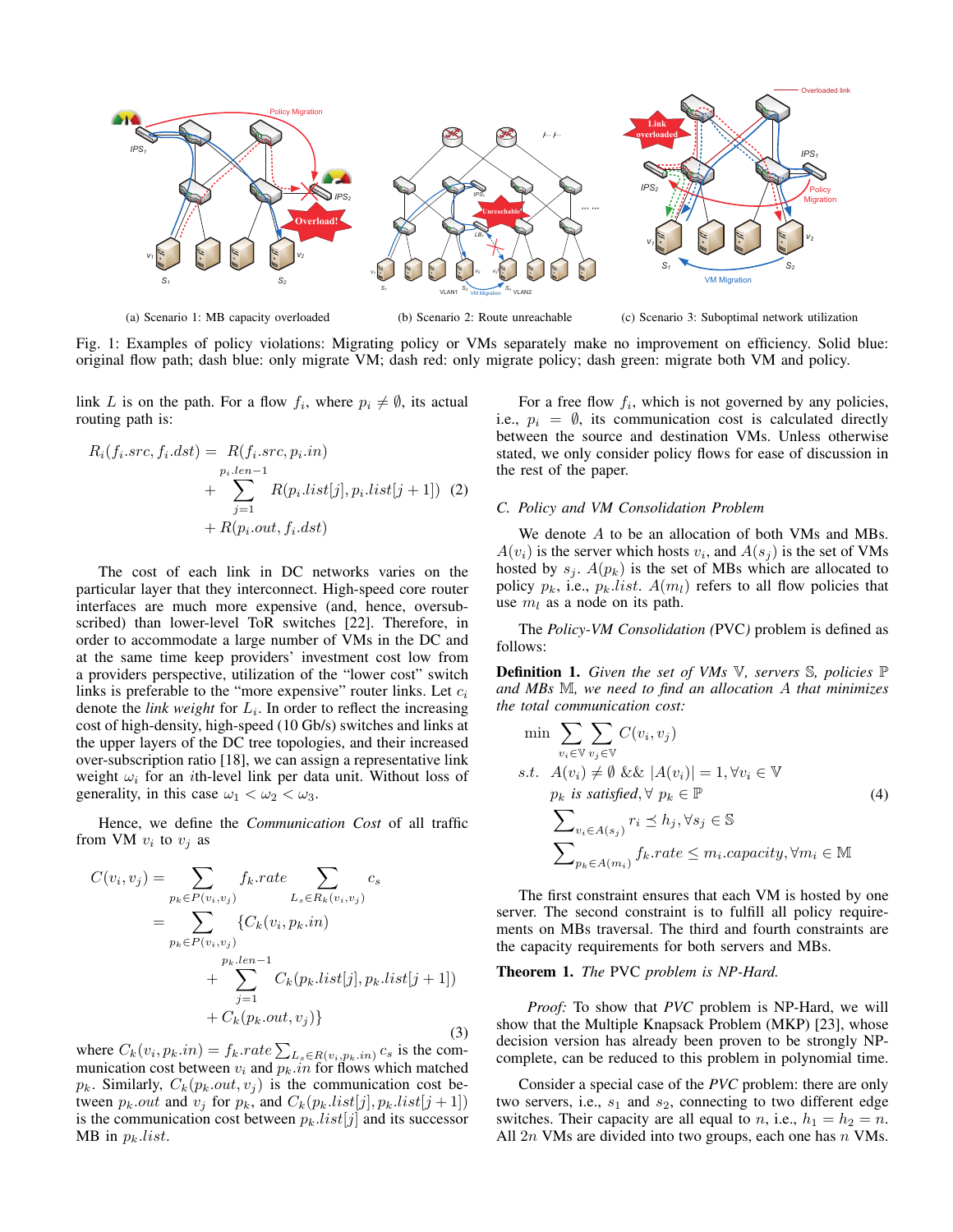

(a) Scenario 1: MB capacity overloaded

(b) Scenario 2: Route unreachable

(c) Scenario 3: Suboptimal network utilization

Fig. 1: Examples of policy violations: Migrating policy or VMs separately make no improvement on efficiency. Solid blue: original flow path; dash blue: only migrate VM; dash red: only migrate policy; dash green: migrate both VM and policy.

link L is on the path. For a flow  $f_i$ , where  $p_i \neq \emptyset$ , its actual routing path is:

$$
R_i(f_i.src, f_i.dst) = R(f_i.src, p_i.in)
$$
  
+ 
$$
\sum_{j=1}^{p_i.len-1} R(p_i.list[j], p_i.list[j+1]) (2)
$$
  
+ 
$$
R(p_i.out, f_i.dst)
$$

The cost of each link in DC networks varies on the particular layer that they interconnect. High-speed core router interfaces are much more expensive (and, hence, oversubscribed) than lower-level ToR switches [22]. Therefore, in order to accommodate a large number of VMs in the DC and at the same time keep providers' investment cost low from a providers perspective, utilization of the "lower cost" switch links is preferable to the "more expensive" router links. Let  $c_i$ denote the *link weight* for  $L_i$ . In order to reflect the increasing cost of high-density, high-speed (10 Gb/s) switches and links at the upper layers of the DC tree topologies, and their increased over-subscription ratio [18], we can assign a representative link weight  $\omega_i$  for an *i*th-level link per data unit. Without loss of generality, in this case  $\omega_1 < \omega_2 < \omega_3$ .

Hence, we define the *Communication Cost* of all traffic from VM  $v_i$  to  $v_j$  as

$$
C(v_i, v_j) = \sum_{p_k \in P(v_i, v_j)} f_k rate \sum_{L_s \in R_k(v_i, v_j)} c_s
$$
  
= 
$$
\sum_{p_k \in P(v_i, v_j)} \{C_k(v_i, p_k.in)\n+ \sum_{j=1}^{p_k len - 1} C_k(p_k list[j], p_k list[j+1])\n+ C_k(p_k.out, v_j)\}
$$
 (3)

where  $C_k(v_i, p_k.in) = f_k.rate \sum_{L_s \in R(v_i, p_k.in)} c_s$  is the communication cost between  $v_i$  and  $p_k.in$  for flows which matched  $p_k$ . Similarly,  $C_k(p_k.out, v_j)$  is the communication cost between  $p_k.out$  and  $v_j$  for  $p_k$ , and  $C_k(p_k-list[j], p_k-list[j + 1])$ is the communication cost between  $p_k-list[j]$  and its successor MB in  $p_k$ *list*.

For a free flow  $f_i$ , which is not governed by any policies, i.e.,  $p_i = \emptyset$ , its communication cost is calculated directly between the source and destination VMs. Unless otherwise stated, we only consider policy flows for ease of discussion in the rest of the paper.

# *C. Policy and VM Consolidation Problem*

We denote  $A$  to be an allocation of both VMs and MBs.  $A(v_i)$  is the server which hosts  $v_i$ , and  $A(s_j)$  is the set of VMs hosted by  $s_i$ .  $A(p_k)$  is the set of MBs which are allocated to policy  $p_k$ , i.e.,  $p_k$  list.  $A(m_l)$  refers to all flow policies that use  $m_l$  as a node on its path.

The *Policy-VM Consolidation (*PVC*)* problem is defined as follows:

Definition 1. *Given the set of VMs* V*, servers* S*, policies* P *and MBs* M*, we need to find an allocation* A *that minimizes the total communication cost:*

$$
\min \sum_{v_i \in \mathbb{V}} \sum_{v_j \in \mathbb{V}} C(v_i, v_j)
$$
\n*s.t.*  $A(v_i) \neq \emptyset$  &&  $|A(v_i)| = 1, \forall v_i \in \mathbb{V}$   
\n*p<sub>k</sub> is satisfied,*  $\forall$  *p<sub>k</sub>*  $\in \mathbb{P}$   
\n
$$
\sum_{v_i \in A(s_j)} r_i \leq h_j, \forall s_j \in \mathbb{S}
$$
\n
$$
\sum_{p_k \in A(m_i)} f_k \text{.rate} \leq m_i \text{.capacity}, \forall m_i \in \mathbb{M}
$$
\n(4)

The first constraint ensures that each VM is hosted by one server. The second constraint is to fulfill all policy requirements on MBs traversal. The third and fourth constraints are the capacity requirements for both servers and MBs.

# Theorem 1. *The* PVC *problem is NP-Hard.*

*Proof:* To show that *PVC* problem is NP-Hard, we will show that the Multiple Knapsack Problem (MKP) [23], whose decision version has already been proven to be strongly NPcomplete, can be reduced to this problem in polynomial time.

Consider a special case of the *PVC* problem: there are only two servers, i.e.,  $s_1$  and  $s_2$ , connecting to two different edge switches. Their capacity are all equal to *n*, i.e.,  $h_1 = h_2 = n$ . All  $2n$  VMs are divided into two groups, each one has  $n$  VMs.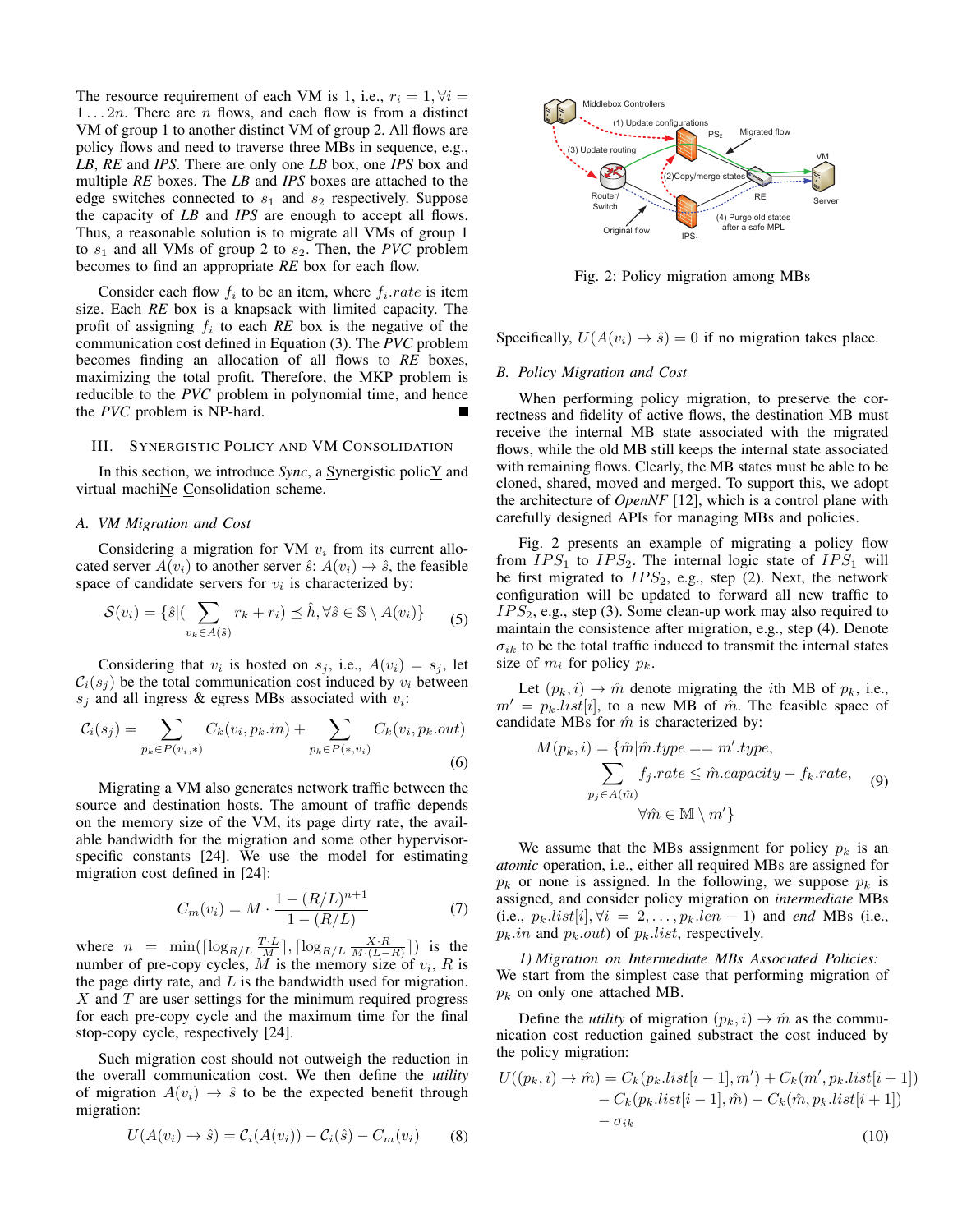The resource requirement of each VM is 1, i.e.,  $r_i = 1, \forall i =$  $1 \ldots 2n$ . There are n flows, and each flow is from a distinct VM of group 1 to another distinct VM of group 2. All flows are policy flows and need to traverse three MBs in sequence, e.g., *LB*, *RE* and *IPS*. There are only one *LB* box, one *IPS* box and multiple *RE* boxes. The *LB* and *IPS* boxes are attached to the edge switches connected to  $s_1$  and  $s_2$  respectively. Suppose the capacity of *LB* and *IPS* are enough to accept all flows. Thus, a reasonable solution is to migrate all VMs of group 1 to  $s_1$  and all VMs of group 2 to  $s_2$ . Then, the *PVC* problem becomes to find an appropriate *RE* box for each flow.

Consider each flow  $f_i$  to be an item, where  $f_i$  *rate* is item size. Each *RE* box is a knapsack with limited capacity. The profit of assigning  $f_i$  to each  $RE$  box is the negative of the communication cost defined in Equation (3). The *PVC* problem becomes finding an allocation of all flows to *RE* boxes, maximizing the total profit. Therefore, the MKP problem is reducible to the *PVC* problem in polynomial time, and hence the *PVC* problem is NP-hard.

## III. SYNERGISTIC POLICY AND VM CONSOLIDATION

In this section, we introduce *Sync*, a Synergistic policY and virtual machiNe Consolidation scheme.

#### *A. VM Migration and Cost*

Considering a migration for VM  $v_i$  from its current allocated server  $A(v_i)$  to another server  $\hat{s}: A(v_i) \to \hat{s}$ , the feasible space of candidate servers for  $v_i$  is characterized by:

$$
\mathcal{S}(v_i) = \{\hat{s} | (\sum_{v_k \in A(\hat{s})} r_k + r_i) \preceq \hat{h}, \forall \hat{s} \in \mathbb{S} \setminus A(v_i) \} \tag{5}
$$

Considering that  $v_i$  is hosted on  $s_j$ , i.e.,  $A(v_i) = s_j$ , let  $C_i(s_j)$  be the total communication cost induced by  $v_i$  between  $s_j$  and all ingress & egress MBs associated with  $v_i$ :

$$
C_i(s_j) = \sum_{p_k \in P(v_i, *)} C_k(v_i, p_k.in) + \sum_{p_k \in P(*, v_i)} C_k(v_i, p_k.out)
$$
\n(6)

Migrating a VM also generates network traffic between the source and destination hosts. The amount of traffic depends on the memory size of the VM, its page dirty rate, the available bandwidth for the migration and some other hypervisorspecific constants [24]. We use the model for estimating migration cost defined in [24]:

$$
C_m(v_i) = M \cdot \frac{1 - (R/L)^{n+1}}{1 - (R/L)}
$$
 (7)

where  $n = \min(\lceil \log_{R/L} \frac{T \cdot L}{M} \rceil, \lceil \log_{R/L} \frac{X \cdot R}{M \cdot (L-R)} \rceil)$  is the number of pre-copy cycles, M is the memory size of  $v_i$ , R is the page dirty rate, and  $L$  is the bandwidth used for migration.  $X$  and  $T$  are user settings for the minimum required progress for each pre-copy cycle and the maximum time for the final stop-copy cycle, respectively [24].

Such migration cost should not outweigh the reduction in the overall communication cost. We then define the *utility* of migration  $A(v_i) \rightarrow \hat{s}$  to be the expected benefit through migration:

$$
U(A(v_i) \to \hat{s}) = C_i(A(v_i)) - C_i(\hat{s}) - C_m(v_i)
$$
 (8)



Fig. 2: Policy migration among MBs

Specifically,  $U(A(v_i) \rightarrow \hat{s}) = 0$  if no migration takes place.

## *B. Policy Migration and Cost*

When performing policy migration, to preserve the correctness and fidelity of active flows, the destination MB must receive the internal MB state associated with the migrated flows, while the old MB still keeps the internal state associated with remaining flows. Clearly, the MB states must be able to be cloned, shared, moved and merged. To support this, we adopt the architecture of *OpenNF* [12], which is a control plane with carefully designed APIs for managing MBs and policies.

Fig. 2 presents an example of migrating a policy flow from  $IPS_1$  to  $IPS_2$ . The internal logic state of  $IPS_1$  will be first migrated to  $IPS_2$ , e.g., step (2). Next, the network configuration will be updated to forward all new traffic to  $IPS_2$ , e.g., step (3). Some clean-up work may also required to maintain the consistence after migration, e.g., step (4). Denote  $\sigma_{ik}$  to be the total traffic induced to transmit the internal states size of  $m_i$  for policy  $p_k$ .

Let  $(p_k, i) \rightarrow \hat{m}$  denote migrating the *i*th MB of  $p_k$ , i.e.,  $m' = p_k list[i]$ , to a new MB of  $\hat{m}$ . The feasible space of candidate MBs for  $\hat{m}$  is characterized by:

$$
M(p_k, i) = \{ \hat{m} | \hat{m}.type == m'.type, \\ \sum_{p_j \in A(\hat{m})} f_j.rate \leq \hat{m}.capacity - f_k.rate, \quad (9)
$$

$$
\forall \hat{m} \in \mathbb{M} \setminus m' \}
$$

We assume that the MBs assignment for policy  $p_k$  is an *atomic* operation, i.e., either all required MBs are assigned for  $p_k$  or none is assigned. In the following, we suppose  $p_k$  is assigned, and consider policy migration on *intermediate* MBs (i.e.,  $p_k-list[i], \forall i = 2, \ldots, p_k.length-1)$  and *end* MBs (i.e.,  $p_k.in$  and  $p_k.out$  of  $p_k$ *list* $, respectively.$ 

*1) Migration on Intermediate MBs Associated Policies:* We start from the simplest case that performing migration of  $p_k$  on only one attached MB.

Define the *utility* of migration  $(p_k, i) \rightarrow \hat{m}$  as the communication cost reduction gained substract the cost induced by the policy migration:

$$
U((p_k, i) \rightarrow \hat{m}) = C_k(p_k.list[i-1], m') + C_k(m', p_k.list[i+1])
$$

$$
- C_k(p_k.list[i-1], \hat{m}) - C_k(\hat{m}, p_k.list[i+1])
$$

$$
- \sigma_{ik}
$$
(10)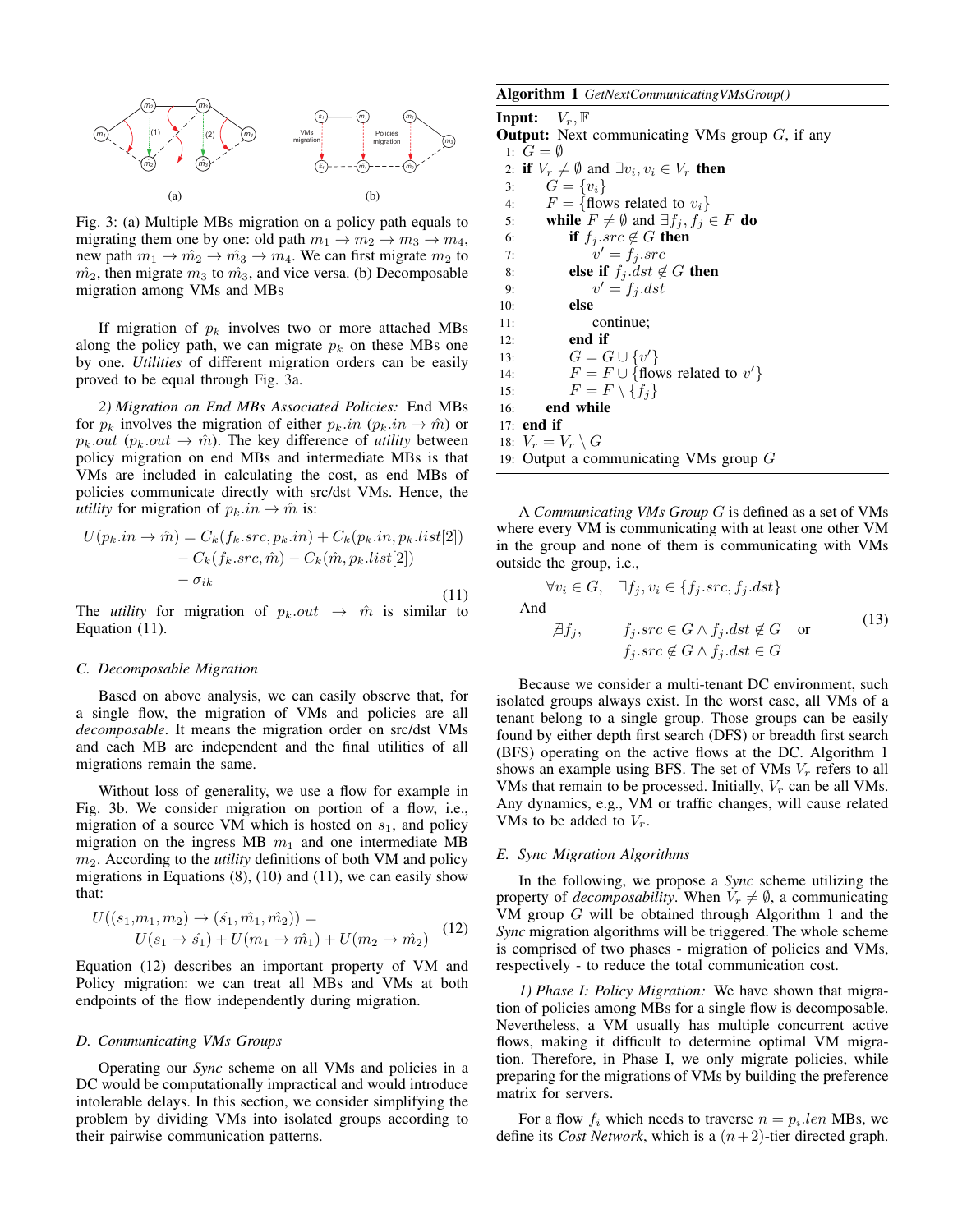

Fig. 3: (a) Multiple MBs migration on a policy path equals to migrating them one by one: old path  $m_1 \rightarrow m_2 \rightarrow m_3 \rightarrow m_4$ , new path  $m_1 \rightarrow \hat{m_2} \rightarrow \hat{m_3} \rightarrow m_4$ . We can first migrate  $m_2$  to  $m<sub>2</sub>$ , then migrate  $m<sub>3</sub>$  to  $m<sub>3</sub>$ , and vice versa. (b) Decomposable migration among VMs and MBs

If migration of  $p_k$  involves two or more attached MBs along the policy path, we can migrate  $p_k$  on these MBs one by one. *Utilities* of different migration orders can be easily proved to be equal through Fig. 3a.

*2) Migration on End MBs Associated Policies:* End MBs for  $p_k$  involves the migration of either  $p_k.in (p_k.in \rightarrow \hat{m})$  or  $p_k.out (p_k.out \rightarrow \hat{m})$ . The key difference of *utility* between policy migration on end MBs and intermediate MBs is that VMs are included in calculating the cost, as end MBs of policies communicate directly with src/dst VMs. Hence, the *utility* for migration of  $p_k.in \to \hat{m}$  is:

$$
U(p_k.in \to \hat{m}) = C_k(f_k.src, p_k.in) + C_k(p_k.in, p_k.list[2])
$$

$$
- C_k(f_k.src, \hat{m}) - C_k(\hat{m}, p_k.list[2])
$$

$$
- \sigma_{ik}
$$
(11)

The *utility* for migration of  $p_k.out \rightarrow \hat{m}$  is similar to Equation (11).

# *C. Decomposable Migration*

Based on above analysis, we can easily observe that, for a single flow, the migration of VMs and policies are all *decomposable*. It means the migration order on src/dst VMs and each MB are independent and the final utilities of all migrations remain the same.

Without loss of generality, we use a flow for example in Fig. 3b. We consider migration on portion of a flow, i.e., migration of a source VM which is hosted on  $s<sub>1</sub>$ , and policy migration on the ingress MB  $m_1$  and one intermediate MB m2. According to the *utility* definitions of both VM and policy migrations in Equations  $(8)$ ,  $(10)$  and  $(11)$ , we can easily show that:

$$
U((s_1, m_1, m_2) \to (\hat{s_1}, \hat{m_1}, \hat{m_2})) =
$$
  
 
$$
U(s_1 \to \hat{s_1}) + U(m_1 \to \hat{m_1}) + U(m_2 \to \hat{m_2})
$$
 (12)

Equation (12) describes an important property of VM and Policy migration: we can treat all MBs and VMs at both endpoints of the flow independently during migration.

## *D. Communicating VMs Groups*

Operating our *Sync* scheme on all VMs and policies in a DC would be computationally impractical and would introduce intolerable delays. In this section, we consider simplifying the problem by dividing VMs into isolated groups according to their pairwise communication patterns.

Algorithm 1 *GetNextCommunicatingVMsGroup()*

**Input:**  $V_r$ ,  $\mathbb{F}$ **Output:** Next communicating VMs group  $G$ , if any 1:  $G = \emptyset$ 2: if  $V_r \neq \emptyset$  and  $\exists v_i, v_i \in V_r$  then 3:  $G = \{v_i\}$ 4:  $F = \{\text{flows related to } v_i\}$ 5: while  $F \neq \emptyset$  and  $\exists f_j, f_j \in F$  do 6: **if**  $f_j$  *src*  $\notin G$  **then**  $7:$  $v' = f_j.src$ 8: **else if**  $f_j$  dst  $\notin G$  **then** 9:  $v$  $v' = f_i. dst$ 10: else 11: continue; 12: end if 13:  $G = G \cup \{v'\}$ 14:  $F = F \cup \{ \text{flows related to } v' \}$ 15:  $F = F \setminus \{f_j\}$ 16: end while 17: end if 18:  $V_r = V_r \setminus G$ 19: Output a communicating VMs group G

A *Communicating VMs Group* G is defined as a set of VMs where every VM is communicating with at least one other VM in the group and none of them is communicating with VMs outside the group, i.e.,

$$
\forall v_i \in G, \quad \exists f_j, v_i \in \{f_j.src, f_j.dst\}
$$
  
And  

$$
\exists f_j, \qquad f_j.src \in G \land f_j.dst \notin G \quad \text{or}
$$
  

$$
f_j.src \notin G \land f_j.dst \in G
$$
 (13)

Because we consider a multi-tenant DC environment, such isolated groups always exist. In the worst case, all VMs of a tenant belong to a single group. Those groups can be easily found by either depth first search (DFS) or breadth first search (BFS) operating on the active flows at the DC. Algorithm 1 shows an example using BFS. The set of VMs  $V_r$  refers to all VMs that remain to be processed. Initially,  $V_r$  can be all VMs. Any dynamics, e.g., VM or traffic changes, will cause related VMs to be added to  $V_r$ .

## *E. Sync Migration Algorithms*

In the following, we propose a *Sync* scheme utilizing the property of *decomposability*. When  $V_r \neq \emptyset$ , a communicating VM group G will be obtained through Algorithm 1 and the *Sync* migration algorithms will be triggered. The whole scheme is comprised of two phases - migration of policies and VMs, respectively - to reduce the total communication cost.

*1) Phase I: Policy Migration:* We have shown that migration of policies among MBs for a single flow is decomposable. Nevertheless, a VM usually has multiple concurrent active flows, making it difficult to determine optimal VM migration. Therefore, in Phase I, we only migrate policies, while preparing for the migrations of VMs by building the preference matrix for servers.

For a flow  $f_i$  which needs to traverse  $n = p_i.length$  MBs, we define its *Cost Network*, which is a  $(n+2)$ -tier directed graph.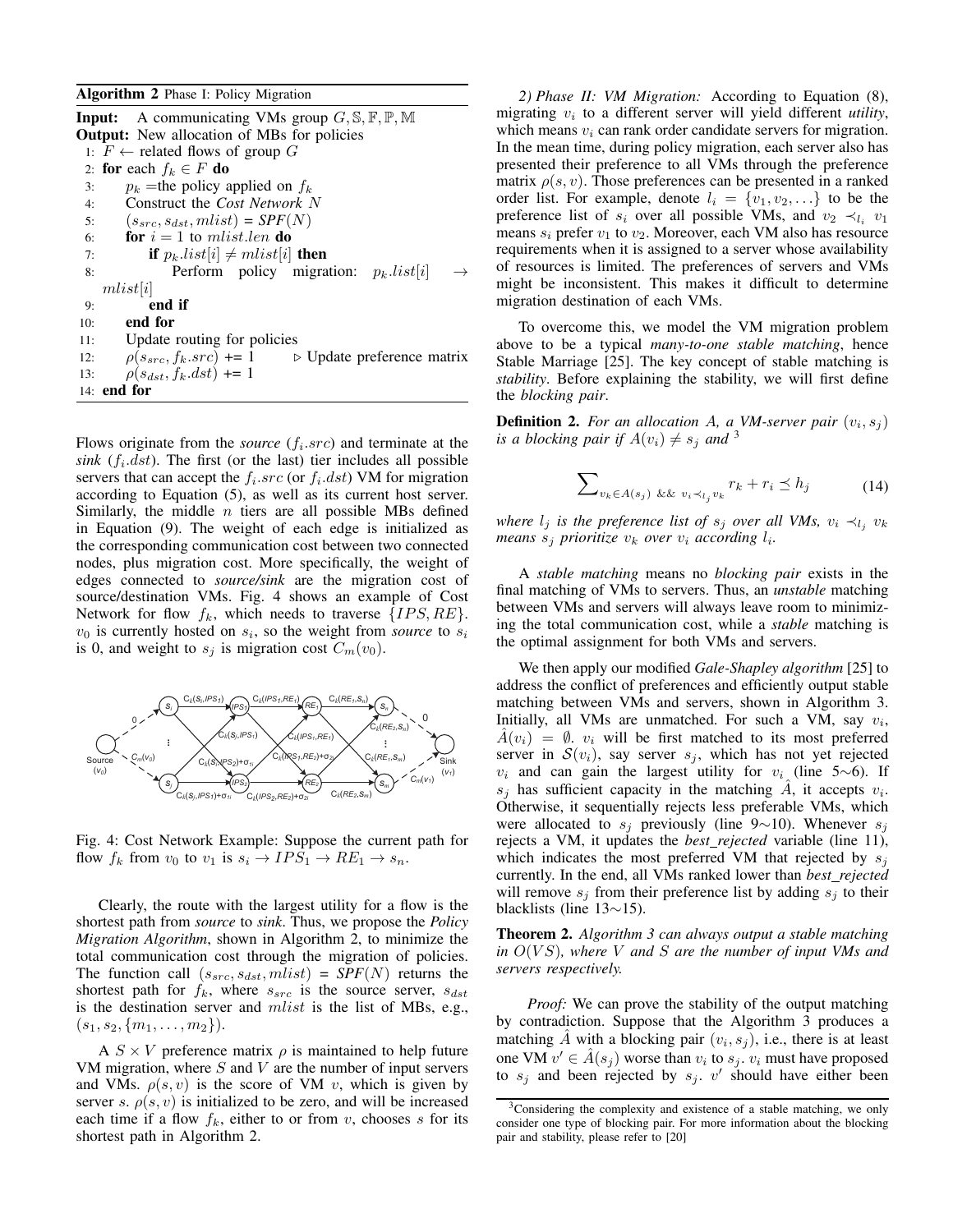Algorithm 2 Phase I: Policy Migration

**Input:** A communicating VMs group  $G, \mathbb{S}, \mathbb{F}, \mathbb{P}, \mathbb{M}$ Output: New allocation of MBs for policies 1:  $F$  ← related flows of group  $G$ 2: for each  $f_k \in F$  do 3:  $p_k$  =the policy applied on  $f_k$ 4: Construct the *Cost Network* N 5:  $(s_{src}, s_{dst}, mlist) = SPF(N)$ 6: **for**  $i = 1$  to mlist.len **do** 7: **if**  $p_k list[i] \neq mlist[i]$  **then** 8: Perform policy migration:  $p_k. list[i]$ mlist[i] 9: end if 10: end for 11: Update routing for policies 12:  $\rho(s_{src}, f_k.src) \neq 1$  b Update preference matrix 13:  $\rho(s_{dst}, f_k.dst) \neq 1$  $14:$  end for

Flows originate from the *source*  $(f_i.src)$  and terminate at the  $sink$  ( $f_i$ .dst). The first (or the last) tier includes all possible servers that can accept the  $f_i$ .  $src$  (or  $f_i$ .  $dst$ ) VM for migration according to Equation (5), as well as its current host server. Similarly, the middle  $n$  tiers are all possible MBs defined in Equation (9). The weight of each edge is initialized as the corresponding communication cost between two connected nodes, plus migration cost. More specifically, the weight of edges connected to *source/sink* are the migration cost of source/destination VMs. Fig. 4 shows an example of Cost Network for flow  $f_k$ , which needs to traverse  $\{IPS, RE\}.$  $v_0$  is currently hosted on  $s_i$ , so the weight from *source* to  $s_i$ is 0, and weight to  $s_j$  is migration cost  $C_m(v_0)$ .



Fig. 4: Cost Network Example: Suppose the current path for flow  $f_k$  from  $v_0$  to  $v_1$  is  $s_i \to IPS_1 \to RE_1 \to s_n$ .

Clearly, the route with the largest utility for a flow is the shortest path from *source* to *sink*. Thus, we propose the *Policy Migration Algorithm*, shown in Algorithm 2, to minimize the total communication cost through the migration of policies. The function call  $(s_{src}, s_{dst}, mlist) = SPF(N)$  returns the shortest path for  $f_k$ , where  $s_{src}$  is the source server,  $s_{dst}$ is the destination server and  $mlist$  is the list of MBs, e.g.,  $(s_1, s_2, \{m_1, \ldots, m_2\}).$ 

A  $S \times V$  preference matrix  $\rho$  is maintained to help future VM migration, where  $S$  and  $V$  are the number of input servers and VMs.  $\rho(s, v)$  is the score of VM v, which is given by server s.  $\rho(s, v)$  is initialized to be zero, and will be increased each time if a flow  $f_k$ , either to or from v, chooses s for its shortest path in Algorithm 2.

*2) Phase II: VM Migration:* According to Equation (8), migrating  $v_i$  to a different server will yield different *utility*, which means  $v_i$  can rank order candidate servers for migration. In the mean time, during policy migration, each server also has presented their preference to all VMs through the preference matrix  $\rho(s, v)$ . Those preferences can be presented in a ranked order list. For example, denote  $l_i = \{v_1, v_2, \ldots\}$  to be the preference list of  $s_i$  over all possible VMs, and  $v_2 \prec_{l_i} v_1$ means  $s_i$  prefer  $v_1$  to  $v_2$ . Moreover, each VM also has resource requirements when it is assigned to a server whose availability of resources is limited. The preferences of servers and VMs might be inconsistent. This makes it difficult to determine migration destination of each VMs.

To overcome this, we model the VM migration problem above to be a typical *many-to-one stable matching*, hence Stable Marriage [25]. The key concept of stable matching is *stability*. Before explaining the stability, we will first define the *blocking pair*.

**Definition 2.** For an allocation A, a VM-server pair  $(v_i, s_j)$ *is a blocking pair if*  $A(v_i) \neq s_i$  *and* <sup>3</sup>

$$
\sum_{v_k \in A(s_j)} \sum_{k \& v_i \prec_{l_j} v_k} r_k + r_i \le h_j \tag{14}
$$

*where*  $l_j$  *is the preference list of*  $s_j$  *over all VMs,*  $v_i \prec_{l_j} v_k$ *means*  $s_j$  *prioritize*  $v_k$  *over*  $v_i$  *according*  $l_i$ *.* 

A *stable matching* means no *blocking pair* exists in the final matching of VMs to servers. Thus, an *unstable* matching between VMs and servers will always leave room to minimizing the total communication cost, while a *stable* matching is the optimal assignment for both VMs and servers.

We then apply our modified *Gale-Shapley algorithm* [25] to address the conflict of preferences and efficiently output stable matching between VMs and servers, shown in Algorithm 3. Initially, all VMs are unmatched. For such a VM, say  $v_i$ ,  $A(v_i) = \emptyset$ .  $v_i$  will be first matched to its most preferred server in  $S(v_i)$ , say server  $s_i$ , which has not yet rejected  $v_i$  and can gain the largest utility for  $v_i$  (line 5∼6). If  $s_j$  has sufficient capacity in the matching  $\hat{A}$ , it accepts  $v_i$ . Otherwise, it sequentially rejects less preferable VMs, which were allocated to  $s_i$  previously (line 9∼10). Whenever  $s_i$ rejects a VM, it updates the *best rejected* variable (line 11), which indicates the most preferred VM that rejected by  $s_i$ currently. In the end, all VMs ranked lower than *best rejected* will remove  $s_i$  from their preference list by adding  $s_i$  to their blacklists (line 13∼15).

Theorem 2. *Algorithm 3 can always output a stable matching in* O(V S)*, where* V *and* S *are the number of input VMs and servers respectively.*

*Proof:* We can prove the stability of the output matching by contradiction. Suppose that the Algorithm 3 produces a matching  $\hat{A}$  with a blocking pair  $(v_i, s_j)$ , i.e., there is at least one VM  $v' \in \hat{A}(s_j)$  worse than  $v_i$  to  $s_j$ ,  $v_i$  must have proposed to  $s_j$  and been rejected by  $s_j$ . v' should have either been

<sup>&</sup>lt;sup>3</sup>Considering the complexity and existence of a stable matching, we only consider one type of blocking pair. For more information about the blocking pair and stability, please refer to [20]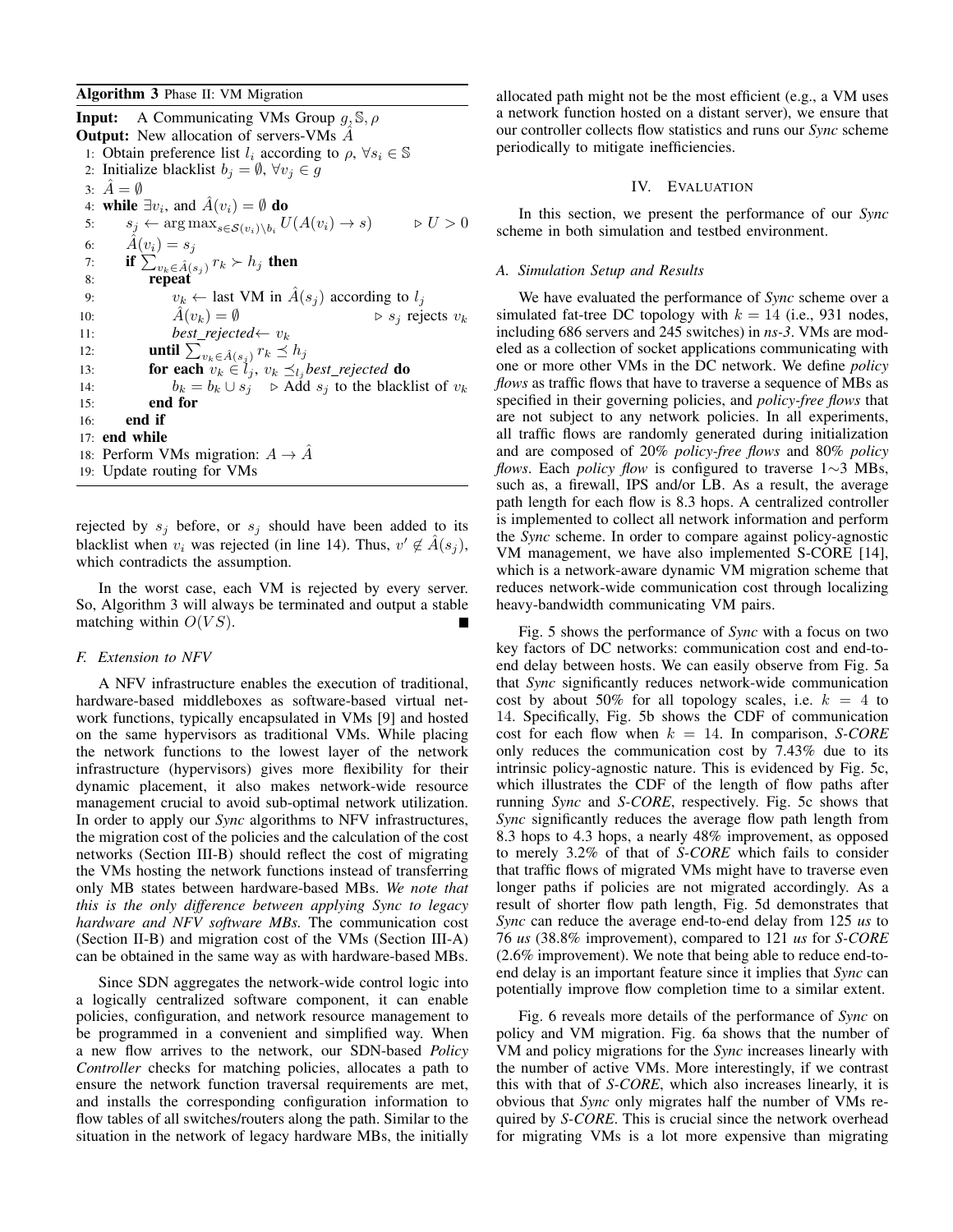Algorithm 3 Phase II: VM Migration

**Input:** A Communicating VMs Group  $q$ ,  $\mathbb{S}$ ,  $\rho$ **Output:** New allocation of servers-VMs  $\ddot{A}$ 1: Obtain preference list  $l_i$  according to  $\rho$ ,  $\forall s_i \in \mathbb{S}$ 2: Initialize blacklist  $b_j = \emptyset$ ,  $\forall v_j \in g$ 3:  $\hat{A} = \emptyset$ 4: while  $\exists v_i$ , and  $\hat{A}(v_i) = \emptyset$  do 5:  $s_j \leftarrow \arg \max_{s \in \mathcal{S}(v_i) \setminus b_i} U(A(v_i) \to s) \qquad \Rightarrow U > 0$ 6:  $\hat{A}(v_i) = s_j$ 7: if  $\sum_{v_k \in \hat{A}(s_j)} r_k \succ h_j$  then 8: repeat 9:  $v_k \leftarrow$  last VM in  $\hat{A}(s_j)$  according to  $l_j$ 10:  $\hat{A}(v_k) = \emptyset$   $\triangleright s_j$  rejects  $v_k$ 11: *best\_rejected*←  $v_k$ 12: **until**  $\sum_{v_k \in \hat{A}(s_j)} r_k \preceq h_j$ 13: **for each**  $v_k \in l_j$ ,  $v_k \preceq_{l_j} best\_rejected$  **do** 14:  $b_k = b_k \cup s_j$   $\triangleright$  Add  $s_j$  to the blacklist of  $v_k$ 15: end for 16: end if 17: end while 18: Perform VMs migration:  $A \rightarrow \hat{A}$ 19: Update routing for VMs

rejected by  $s_j$  before, or  $s_j$  should have been added to its blacklist when  $v_i$  was rejected (in line 14). Thus,  $v' \notin \hat{A}(s_j)$ , which contradicts the assumption.

In the worst case, each VM is rejected by every server. So, Algorithm 3 will always be terminated and output a stable matching within  $O(VS)$ .

# *F. Extension to NFV*

A NFV infrastructure enables the execution of traditional, hardware-based middleboxes as software-based virtual network functions, typically encapsulated in VMs [9] and hosted on the same hypervisors as traditional VMs. While placing the network functions to the lowest layer of the network infrastructure (hypervisors) gives more flexibility for their dynamic placement, it also makes network-wide resource management crucial to avoid sub-optimal network utilization. In order to apply our *Sync* algorithms to NFV infrastructures, the migration cost of the policies and the calculation of the cost networks (Section III-B) should reflect the cost of migrating the VMs hosting the network functions instead of transferring only MB states between hardware-based MBs. *We note that this is the only difference between applying Sync to legacy hardware and NFV software MBs.* The communication cost (Section II-B) and migration cost of the VMs (Section III-A) can be obtained in the same way as with hardware-based MBs.

Since SDN aggregates the network-wide control logic into a logically centralized software component, it can enable policies, configuration, and network resource management to be programmed in a convenient and simplified way. When a new flow arrives to the network, our SDN-based *Policy Controller* checks for matching policies, allocates a path to ensure the network function traversal requirements are met, and installs the corresponding configuration information to flow tables of all switches/routers along the path. Similar to the situation in the network of legacy hardware MBs, the initially

allocated path might not be the most efficient (e.g., a VM uses a network function hosted on a distant server), we ensure that our controller collects flow statistics and runs our *Sync* scheme periodically to mitigate inefficiencies.

## IV. EVALUATION

In this section, we present the performance of our *Sync* scheme in both simulation and testbed environment.

## *A. Simulation Setup and Results*

We have evaluated the performance of *Sync* scheme over a simulated fat-tree DC topology with  $k = 14$  (i.e., 931 nodes, including 686 servers and 245 switches) in *ns-3*. VMs are modeled as a collection of socket applications communicating with one or more other VMs in the DC network. We define *policy flows* as traffic flows that have to traverse a sequence of MBs as specified in their governing policies, and *policy-free flows* that are not subject to any network policies. In all experiments, all traffic flows are randomly generated during initialization and are composed of 20% *policy-free flows* and 80% *policy flows*. Each *policy flow* is configured to traverse 1∼3 MBs, such as, a firewall, IPS and/or LB. As a result, the average path length for each flow is 8.3 hops. A centralized controller is implemented to collect all network information and perform the *Sync* scheme. In order to compare against policy-agnostic VM management, we have also implemented S-CORE [14], which is a network-aware dynamic VM migration scheme that reduces network-wide communication cost through localizing heavy-bandwidth communicating VM pairs.

Fig. 5 shows the performance of *Sync* with a focus on two key factors of DC networks: communication cost and end-toend delay between hosts. We can easily observe from Fig. 5a that *Sync* significantly reduces network-wide communication cost by about 50% for all topology scales, i.e.  $k = 4$  to 14. Specifically, Fig. 5b shows the CDF of communication cost for each flow when  $k = 14$ . In comparison, *S-CORE* only reduces the communication cost by 7.43% due to its intrinsic policy-agnostic nature. This is evidenced by Fig. 5c, which illustrates the CDF of the length of flow paths after running *Sync* and *S-CORE*, respectively. Fig. 5c shows that *Sync* significantly reduces the average flow path length from 8.3 hops to 4.3 hops, a nearly 48% improvement, as opposed to merely 3.2% of that of *S-CORE* which fails to consider that traffic flows of migrated VMs might have to traverse even longer paths if policies are not migrated accordingly. As a result of shorter flow path length, Fig. 5d demonstrates that *Sync* can reduce the average end-to-end delay from 125 *us* to 76 *us* (38.8% improvement), compared to 121 *us* for *S-CORE* (2.6% improvement). We note that being able to reduce end-toend delay is an important feature since it implies that *Sync* can potentially improve flow completion time to a similar extent.

Fig. 6 reveals more details of the performance of *Sync* on policy and VM migration. Fig. 6a shows that the number of VM and policy migrations for the *Sync* increases linearly with the number of active VMs. More interestingly, if we contrast this with that of *S-CORE*, which also increases linearly, it is obvious that *Sync* only migrates half the number of VMs required by *S-CORE*. This is crucial since the network overhead for migrating VMs is a lot more expensive than migrating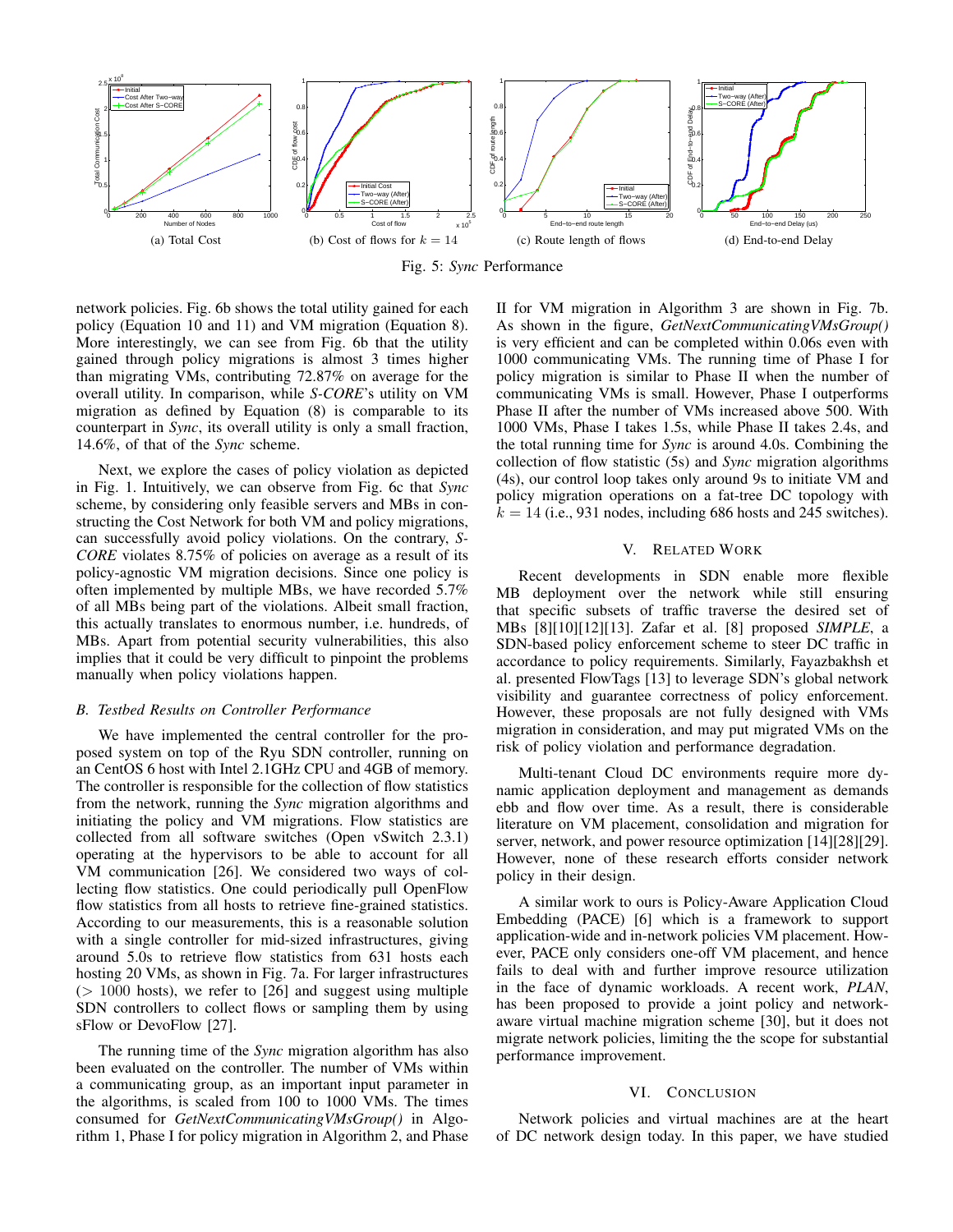

Fig. 5: *Sync* Performance

network policies. Fig. 6b shows the total utility gained for each policy (Equation 10 and 11) and VM migration (Equation 8). More interestingly, we can see from Fig. 6b that the utility gained through policy migrations is almost 3 times higher than migrating VMs, contributing 72.87% on average for the overall utility. In comparison, while *S-CORE*'s utility on VM migration as defined by Equation (8) is comparable to its counterpart in *Sync*, its overall utility is only a small fraction, 14.6%, of that of the *Sync* scheme.

Next, we explore the cases of policy violation as depicted in Fig. 1. Intuitively, we can observe from Fig. 6c that *Sync* scheme, by considering only feasible servers and MBs in constructing the Cost Network for both VM and policy migrations, can successfully avoid policy violations. On the contrary, *S-CORE* violates 8.75% of policies on average as a result of its policy-agnostic VM migration decisions. Since one policy is often implemented by multiple MBs, we have recorded 5.7% of all MBs being part of the violations. Albeit small fraction, this actually translates to enormous number, i.e. hundreds, of MBs. Apart from potential security vulnerabilities, this also implies that it could be very difficult to pinpoint the problems manually when policy violations happen.

## *B. Testbed Results on Controller Performance*

We have implemented the central controller for the proposed system on top of the Ryu SDN controller, running on an CentOS 6 host with Intel 2.1GHz CPU and 4GB of memory. The controller is responsible for the collection of flow statistics from the network, running the *Sync* migration algorithms and initiating the policy and VM migrations. Flow statistics are collected from all software switches (Open vSwitch 2.3.1) operating at the hypervisors to be able to account for all VM communication [26]. We considered two ways of collecting flow statistics. One could periodically pull OpenFlow flow statistics from all hosts to retrieve fine-grained statistics. According to our measurements, this is a reasonable solution with a single controller for mid-sized infrastructures, giving around 5.0s to retrieve flow statistics from 631 hosts each hosting 20 VMs, as shown in Fig. 7a. For larger infrastructures  $(> 1000$  hosts), we refer to  $[26]$  and suggest using multiple SDN controllers to collect flows or sampling them by using sFlow or DevoFlow [27].

The running time of the *Sync* migration algorithm has also been evaluated on the controller. The number of VMs within a communicating group, as an important input parameter in the algorithms, is scaled from 100 to 1000 VMs. The times consumed for *GetNextCommunicatingVMsGroup()* in Algorithm 1, Phase I for policy migration in Algorithm 2, and Phase II for VM migration in Algorithm 3 are shown in Fig. 7b. As shown in the figure, *GetNextCommunicatingVMsGroup()* is very efficient and can be completed within 0.06s even with 1000 communicating VMs. The running time of Phase I for policy migration is similar to Phase II when the number of communicating VMs is small. However, Phase I outperforms Phase II after the number of VMs increased above 500. With 1000 VMs, Phase I takes 1.5s, while Phase II takes 2.4s, and the total running time for *Sync* is around 4.0s. Combining the collection of flow statistic (5s) and *Sync* migration algorithms (4s), our control loop takes only around 9s to initiate VM and policy migration operations on a fat-tree DC topology with  $k = 14$  (i.e., 931 nodes, including 686 hosts and 245 switches).

## V. RELATED WORK

Recent developments in SDN enable more flexible MB deployment over the network while still ensuring that specific subsets of traffic traverse the desired set of MBs [8][10][12][13]. Zafar et al. [8] proposed *SIMPLE*, a SDN-based policy enforcement scheme to steer DC traffic in accordance to policy requirements. Similarly, Fayazbakhsh et al. presented FlowTags [13] to leverage SDN's global network visibility and guarantee correctness of policy enforcement. However, these proposals are not fully designed with VMs migration in consideration, and may put migrated VMs on the risk of policy violation and performance degradation.

Multi-tenant Cloud DC environments require more dynamic application deployment and management as demands ebb and flow over time. As a result, there is considerable literature on VM placement, consolidation and migration for server, network, and power resource optimization [14][28][29]. However, none of these research efforts consider network policy in their design.

A similar work to ours is Policy-Aware Application Cloud Embedding (PACE) [6] which is a framework to support application-wide and in-network policies VM placement. However, PACE only considers one-off VM placement, and hence fails to deal with and further improve resource utilization in the face of dynamic workloads. A recent work, *PLAN*, has been proposed to provide a joint policy and networkaware virtual machine migration scheme [30], but it does not migrate network policies, limiting the the scope for substantial performance improvement.

## VI. CONCLUSION

Network policies and virtual machines are at the heart of DC network design today. In this paper, we have studied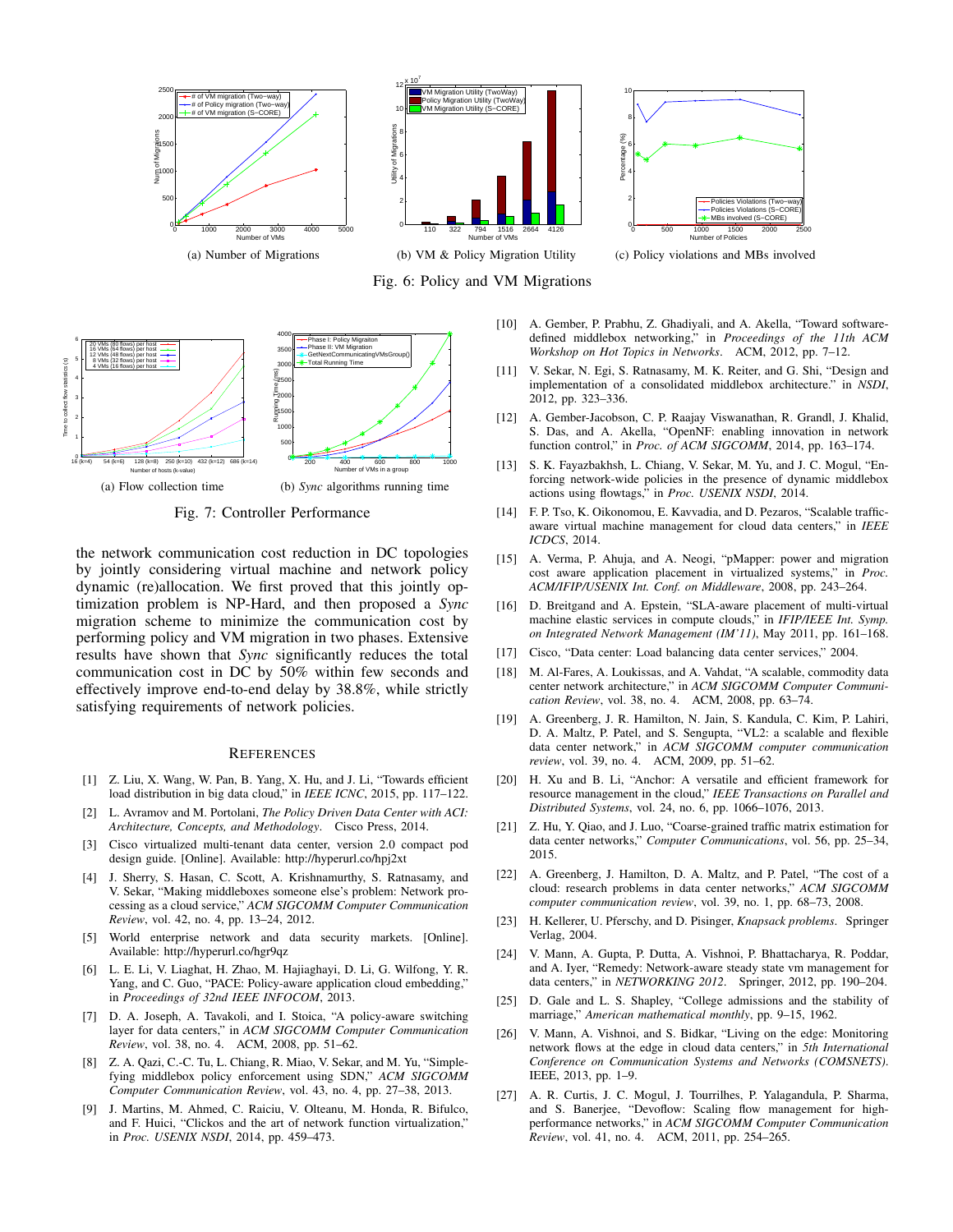

Fig. 6: Policy and VM Migrations



Fig. 7: Controller Performance

the network communication cost reduction in DC topologies by jointly considering virtual machine and network policy dynamic (re)allocation. We first proved that this jointly optimization problem is NP-Hard, and then proposed a *Sync* migration scheme to minimize the communication cost by performing policy and VM migration in two phases. Extensive results have shown that *Sync* significantly reduces the total communication cost in DC by 50% within few seconds and effectively improve end-to-end delay by 38.8%, while strictly satisfying requirements of network policies.

#### **REFERENCES**

- [1] Z. Liu, X. Wang, W. Pan, B. Yang, X. Hu, and J. Li, "Towards efficient load distribution in big data cloud," in *IEEE ICNC*, 2015, pp. 117–122.
- [2] L. Avramov and M. Portolani, *The Policy Driven Data Center with ACI: Architecture, Concepts, and Methodology*. Cisco Press, 2014.
- [3] Cisco virtualized multi-tenant data center, version 2.0 compact pod design guide. [Online]. Available: http://hyperurl.co/hpj2xt
- [4] J. Sherry, S. Hasan, C. Scott, A. Krishnamurthy, S. Ratnasamy, and V. Sekar, "Making middleboxes someone else's problem: Network processing as a cloud service," *ACM SIGCOMM Computer Communication Review*, vol. 42, no. 4, pp. 13–24, 2012.
- [5] World enterprise network and data security markets. [Online]. Available: http://hyperurl.co/hgr9qz
- [6] L. E. Li, V. Liaghat, H. Zhao, M. Hajiaghayi, D. Li, G. Wilfong, Y. R. Yang, and C. Guo, "PACE: Policy-aware application cloud embedding," in *Proceedings of 32nd IEEE INFOCOM*, 2013.
- [7] D. A. Joseph, A. Tavakoli, and I. Stoica, "A policy-aware switching layer for data centers," in *ACM SIGCOMM Computer Communication Review*, vol. 38, no. 4. ACM, 2008, pp. 51–62.
- [8] Z. A. Qazi, C.-C. Tu, L. Chiang, R. Miao, V. Sekar, and M. Yu, "Simplefying middlebox policy enforcement using SDN," *ACM SIGCOMM Computer Communication Review*, vol. 43, no. 4, pp. 27–38, 2013.
- [9] J. Martins, M. Ahmed, C. Raiciu, V. Olteanu, M. Honda, R. Bifulco, and F. Huici, "Clickos and the art of network function virtualization," in *Proc. USENIX NSDI*, 2014, pp. 459–473.
- [10] A. Gember, P. Prabhu, Z. Ghadiyali, and A. Akella, "Toward softwaredefined middlebox networking," in *Proceedings of the 11th ACM Workshop on Hot Topics in Networks*. ACM, 2012, pp. 7–12.
- [11] V. Sekar, N. Egi, S. Ratnasamy, M. K. Reiter, and G. Shi, "Design and implementation of a consolidated middlebox architecture." in *NSDI*, 2012, pp. 323–336.
- [12] A. Gember-Jacobson, C. P. Raajay Viswanathan, R. Grandl, J. Khalid, S. Das, and A. Akella, "OpenNF: enabling innovation in network function control," in *Proc. of ACM SIGCOMM*, 2014, pp. 163–174.
- [13] S. K. Fayazbakhsh, L. Chiang, V. Sekar, M. Yu, and J. C. Mogul, "Enforcing network-wide policies in the presence of dynamic middlebox actions using flowtags," in *Proc. USENIX NSDI*, 2014.
- [14] F. P. Tso, K. Oikonomou, E. Kavvadia, and D. Pezaros, "Scalable trafficaware virtual machine management for cloud data centers," in *IEEE ICDCS*, 2014.
- [15] A. Verma, P. Ahuja, and A. Neogi, "pMapper: power and migration cost aware application placement in virtualized systems," in *Proc. ACM/IFIP/USENIX Int. Conf. on Middleware*, 2008, pp. 243–264.
- [16] D. Breitgand and A. Epstein, "SLA-aware placement of multi-virtual machine elastic services in compute clouds," in *IFIP/IEEE Int. Symp. on Integrated Network Management (IM'11)*, May 2011, pp. 161–168.
- [17] Cisco, "Data center: Load balancing data center services," 2004.
- [18] M. Al-Fares, A. Loukissas, and A. Vahdat, "A scalable, commodity data center network architecture," in *ACM SIGCOMM Computer Communication Review*, vol. 38, no. 4. ACM, 2008, pp. 63–74.
- [19] A. Greenberg, J. R. Hamilton, N. Jain, S. Kandula, C. Kim, P. Lahiri, D. A. Maltz, P. Patel, and S. Sengupta, "VL2: a scalable and flexible data center network," in *ACM SIGCOMM computer communication review*, vol. 39, no. 4. ACM, 2009, pp. 51–62.
- [20] H. Xu and B. Li, "Anchor: A versatile and efficient framework for resource management in the cloud," *IEEE Transactions on Parallel and Distributed Systems*, vol. 24, no. 6, pp. 1066–1076, 2013.
- [21] Z. Hu, Y. Qiao, and J. Luo, "Coarse-grained traffic matrix estimation for data center networks," *Computer Communications*, vol. 56, pp. 25–34, 2015.
- [22] A. Greenberg, J. Hamilton, D. A. Maltz, and P. Patel, "The cost of a cloud: research problems in data center networks," *ACM SIGCOMM computer communication review*, vol. 39, no. 1, pp. 68–73, 2008.
- [23] H. Kellerer, U. Pferschy, and D. Pisinger, *Knapsack problems*. Springer Verlag, 2004.
- [24] V. Mann, A. Gupta, P. Dutta, A. Vishnoi, P. Bhattacharya, R. Poddar, and A. Iyer, "Remedy: Network-aware steady state vm management for data centers," in *NETWORKING 2012*. Springer, 2012, pp. 190–204.
- [25] D. Gale and L. S. Shapley, "College admissions and the stability of marriage," *American mathematical monthly*, pp. 9–15, 1962.
- [26] V. Mann, A. Vishnoi, and S. Bidkar, "Living on the edge: Monitoring network flows at the edge in cloud data centers," in *5th International Conference on Communication Systems and Networks (COMSNETS)*. IEEE, 2013, pp. 1–9.
- [27] A. R. Curtis, J. C. Mogul, J. Tourrilhes, P. Yalagandula, P. Sharma, and S. Banerjee, "Devoflow: Scaling flow management for highperformance networks," in *ACM SIGCOMM Computer Communication Review*, vol. 41, no. 4. ACM, 2011, pp. 254–265.